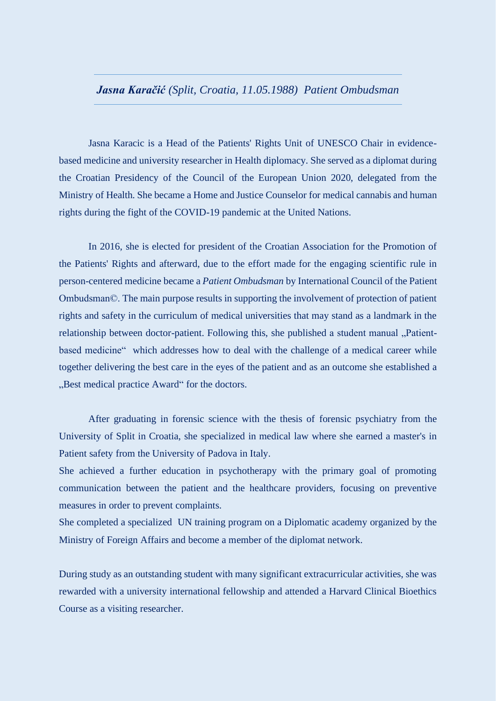## *Jasna Karačić (Split, Croatia, 11.05.1988) Patient Ombudsman*

Jasna Karacic is a Head of the Patients' Rights Unit of UNESCO Chair in evidencebased medicine and university researcher in Health diplomacy. She served as a diplomat during the Croatian Presidency of the Council of the European Union 2020, delegated from the Ministry of Health. She became a Home and Justice Counselor for medical cannabis and human rights during the fight of the COVID-19 pandemic at the United Nations.

In 2016, she is elected for president of the Croatian Association for the Promotion of the Patients' Rights and afterward, due to the effort made for the engaging scientific rule in person-centered medicine became a *Patient Ombudsman* by International Council of the Patient Ombudsman©. The main purpose results in supporting the involvement of protection of patient rights and safety in the curriculum of medical universities that may stand as a landmark in the relationship between doctor-patient. Following this, she published a student manual "Patientbased medicine" which addresses how to deal with the challenge of a medical career while together delivering the best care in the eyes of the patient and as an outcome she established a "Best medical practice Award" for the doctors.

After graduating in forensic science with the thesis of forensic psychiatry from the University of Split in Croatia, she specialized in medical law where she earned a master's in Patient safety from the University of Padova in Italy.

She achieved a further education in psychotherapy with the primary goal of promoting communication between the patient and the healthcare providers, focusing on preventive measures in order to prevent complaints.

She completed a specialized UN training program on a Diplomatic academy organized by the Ministry of Foreign Affairs and become a member of the diplomat network.

During study as an outstanding student with many significant extracurricular activities, she was rewarded with a university international fellowship and attended a Harvard Clinical Bioethics Course as a visiting researcher.